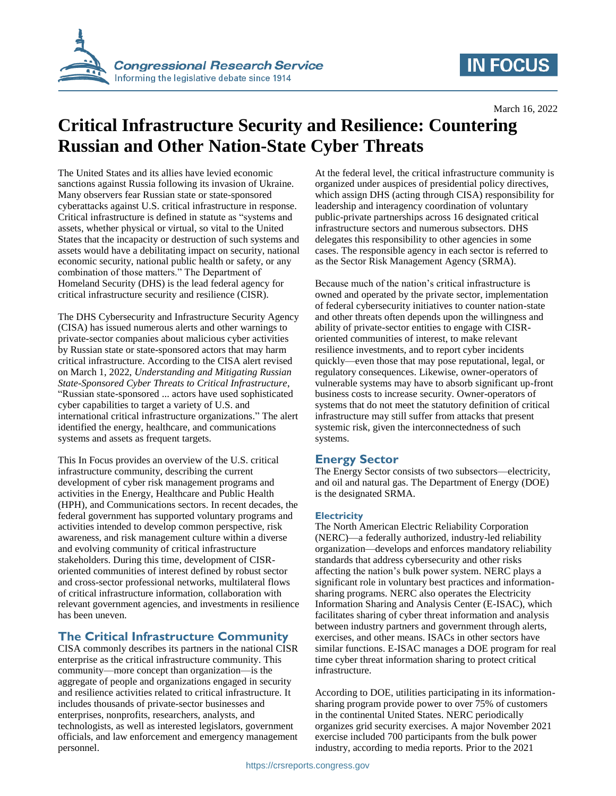

# **IN FOCUS**

March 16, 2022

# **Critical Infrastructure Security and Resilience: Countering Russian and Other Nation-State Cyber Threats**

The United States and its allies have levied economic sanctions against Russia following its invasion of Ukraine. Many observers fear Russian state or state-sponsored cyberattacks against U.S. critical infrastructure in response. Critical infrastructure is defined in statute as "systems and assets, whether physical or virtual, so vital to the United States that the incapacity or destruction of such systems and assets would have a debilitating impact on security, national economic security, national public health or safety, or any combination of those matters." The Department of Homeland Security (DHS) is the lead federal agency for critical infrastructure security and resilience (CISR).

The DHS Cybersecurity and Infrastructure Security Agency (CISA) has issued numerous alerts and other warnings to private-sector companies about malicious cyber activities by Russian state or state-sponsored actors that may harm critical infrastructure. According to the CISA alert revised on March 1, 2022, *Understanding and Mitigating Russian State-Sponsored Cyber Threats to Critical Infrastructure*, "Russian state-sponsored ... actors have used sophisticated cyber capabilities to target a variety of U.S. and international critical infrastructure organizations." The alert identified the energy, healthcare, and communications systems and assets as frequent targets.

This In Focus provides an overview of the U.S. critical infrastructure community, describing the current development of cyber risk management programs and activities in the Energy, Healthcare and Public Health (HPH), and Communications sectors. In recent decades, the federal government has supported voluntary programs and activities intended to develop common perspective, risk awareness, and risk management culture within a diverse and evolving community of critical infrastructure stakeholders. During this time, development of CISRoriented communities of interest defined by robust sector and cross-sector professional networks, multilateral flows of critical infrastructure information, collaboration with relevant government agencies, and investments in resilience has been uneven.

### **The Critical Infrastructure Community**

CISA commonly describes its partners in the national CISR enterprise as the critical infrastructure community. This community—more concept than organization—is the aggregate of people and organizations engaged in security and resilience activities related to critical infrastructure. It includes thousands of private-sector businesses and enterprises, nonprofits, researchers, analysts, and technologists, as well as interested legislators, government officials, and law enforcement and emergency management personnel.

At the federal level, the critical infrastructure community is organized under auspices of presidential policy directives, which assign DHS (acting through CISA) responsibility for leadership and interagency coordination of voluntary public-private partnerships across 16 designated critical infrastructure sectors and numerous subsectors. DHS delegates this responsibility to other agencies in some cases. The responsible agency in each sector is referred to as the Sector Risk Management Agency (SRMA).

Because much of the nation's critical infrastructure is owned and operated by the private sector, implementation of federal cybersecurity initiatives to counter nation-state and other threats often depends upon the willingness and ability of private-sector entities to engage with CISRoriented communities of interest, to make relevant resilience investments, and to report cyber incidents quickly—even those that may pose reputational, legal, or regulatory consequences. Likewise, owner-operators of vulnerable systems may have to absorb significant up-front business costs to increase security. Owner-operators of systems that do not meet the statutory definition of critical infrastructure may still suffer from attacks that present systemic risk, given the interconnectedness of such systems.

### **Energy Sector**

The Energy Sector consists of two subsectors—electricity, and oil and natural gas. The Department of Energy (DOE) is the designated SRMA.

#### **Electricity**

The North American Electric Reliability Corporation (NERC)—a federally authorized, industry-led reliability organization—develops and enforces mandatory reliability standards that address cybersecurity and other risks affecting the nation's bulk power system. NERC plays a significant role in voluntary best practices and informationsharing programs. NERC also operates the Electricity Information Sharing and Analysis Center (E-ISAC), which facilitates sharing of cyber threat information and analysis between industry partners and government through alerts, exercises, and other means. ISACs in other sectors have similar functions. E-ISAC manages a DOE program for real time cyber threat information sharing to protect critical infrastructure.

According to DOE, utilities participating in its informationsharing program provide power to over 75% of customers in the continental United States. NERC periodically organizes grid security exercises. A major November 2021 exercise included 700 participants from the bulk power industry, according to media reports. Prior to the 2021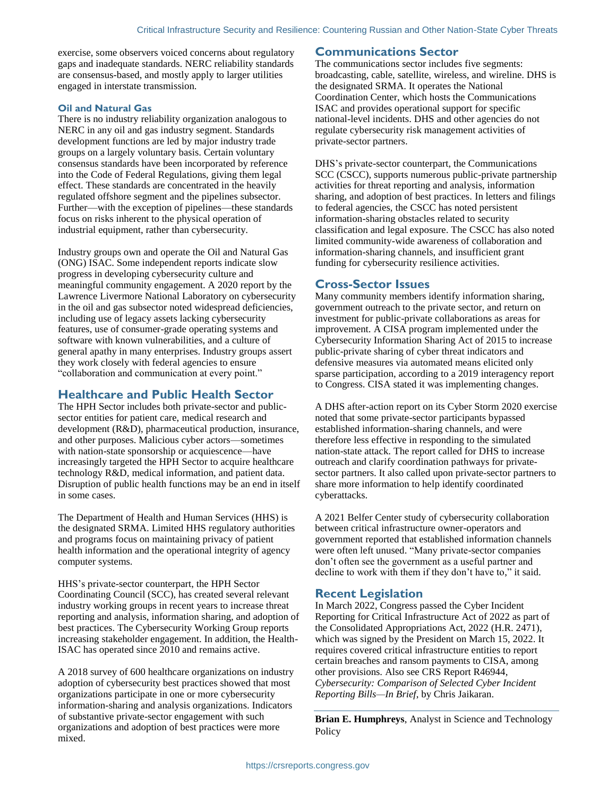exercise, some observers voiced concerns about regulatory gaps and inadequate standards. NERC reliability standards are consensus-based, and mostly apply to larger utilities engaged in interstate transmission.

#### **Oil and Natural Gas**

There is no industry reliability organization analogous to NERC in any oil and gas industry segment. Standards development functions are led by major industry trade groups on a largely voluntary basis. Certain voluntary consensus standards have been incorporated by reference into the Code of Federal Regulations, giving them legal effect. These standards are concentrated in the heavily regulated offshore segment and the pipelines subsector. Further—with the exception of pipelines—these standards focus on risks inherent to the physical operation of industrial equipment, rather than cybersecurity.

Industry groups own and operate the Oil and Natural Gas (ONG) ISAC. Some independent reports indicate slow progress in developing cybersecurity culture and meaningful community engagement. A 2020 report by the Lawrence Livermore National Laboratory on cybersecurity in the oil and gas subsector noted widespread deficiencies, including use of legacy assets lacking cybersecurity features, use of consumer-grade operating systems and software with known vulnerabilities, and a culture of general apathy in many enterprises. Industry groups assert they work closely with federal agencies to ensure "collaboration and communication at every point."

#### **Healthcare and Public Health Sector**

The HPH Sector includes both private-sector and publicsector entities for patient care, medical research and development (R&D), pharmaceutical production, insurance, and other purposes. Malicious cyber actors—sometimes with nation-state sponsorship or acquiescence—have increasingly targeted the HPH Sector to acquire healthcare technology R&D, medical information, and patient data. Disruption of public health functions may be an end in itself in some cases.

The Department of Health and Human Services (HHS) is the designated SRMA. Limited HHS regulatory authorities and programs focus on maintaining privacy of patient health information and the operational integrity of agency computer systems.

HHS's private-sector counterpart, the HPH Sector Coordinating Council (SCC), has created several relevant industry working groups in recent years to increase threat reporting and analysis, information sharing, and adoption of best practices. The Cybersecurity Working Group reports increasing stakeholder engagement. In addition, the Health-ISAC has operated since 2010 and remains active.

A 2018 survey of 600 healthcare organizations on industry adoption of cybersecurity best practices showed that most organizations participate in one or more cybersecurity information-sharing and analysis organizations. Indicators of substantive private-sector engagement with such organizations and adoption of best practices were more mixed.

#### **Communications Sector**

The communications sector includes five segments: broadcasting, cable, satellite, wireless, and wireline. DHS is the designated SRMA. It operates the National Coordination Center, which hosts the Communications ISAC and provides operational support for specific national-level incidents. DHS and other agencies do not regulate cybersecurity risk management activities of private-sector partners.

DHS's private-sector counterpart, the Communications SCC (CSCC), supports numerous public-private partnership activities for threat reporting and analysis, information sharing, and adoption of best practices. In letters and filings to federal agencies, the CSCC has noted persistent information-sharing obstacles related to security classification and legal exposure. The CSCC has also noted limited community-wide awareness of collaboration and information-sharing channels, and insufficient grant funding for cybersecurity resilience activities.

#### **Cross-Sector Issues**

Many community members identify information sharing, government outreach to the private sector, and return on investment for public-private collaborations as areas for improvement. A CISA program implemented under the Cybersecurity Information Sharing Act of 2015 to increase public-private sharing of cyber threat indicators and defensive measures via automated means elicited only sparse participation, according to a 2019 interagency report to Congress. CISA stated it was implementing changes.

A DHS after-action report on its Cyber Storm 2020 exercise noted that some private-sector participants bypassed established information-sharing channels, and were therefore less effective in responding to the simulated nation-state attack. The report called for DHS to increase outreach and clarify coordination pathways for privatesector partners. It also called upon private-sector partners to share more information to help identify coordinated cyberattacks.

A 2021 Belfer Center study of cybersecurity collaboration between critical infrastructure owner-operators and government reported that established information channels were often left unused. "Many private-sector companies don't often see the government as a useful partner and decline to work with them if they don't have to," it said.

#### **Recent Legislation**

In March 2022, Congress passed the Cyber Incident Reporting for Critical Infrastructure Act of 2022 as part of the Consolidated Appropriations Act, 2022 (H.R. 2471), which was signed by the President on March 15, 2022. It requires covered critical infrastructure entities to report certain breaches and ransom payments to CISA, among other provisions. Also see CRS Report R46944, *Cybersecurity: Comparison of Selected Cyber Incident Reporting Bills—In Brief*, by Chris Jaikaran.

**Brian E. Humphreys**, Analyst in Science and Technology **Policy**